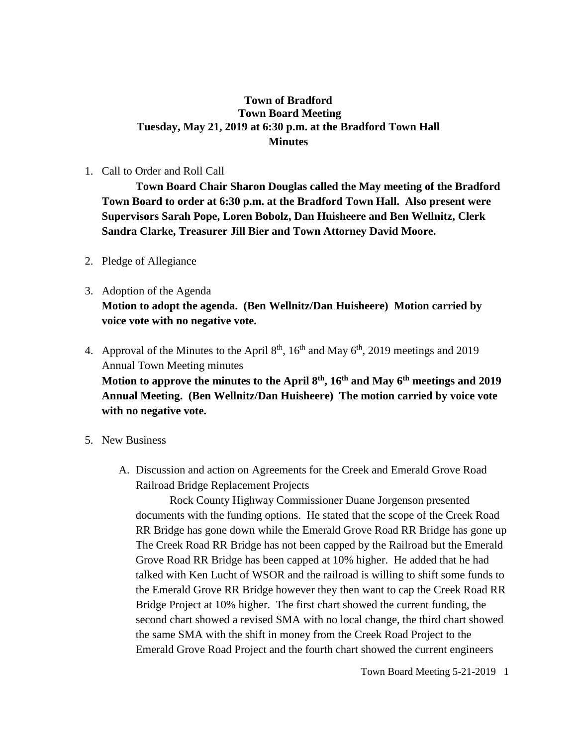## **Town of Bradford Town Board Meeting Tuesday, May 21, 2019 at 6:30 p.m. at the Bradford Town Hall Minutes**

## 1. Call to Order and Roll Call

**Town Board Chair Sharon Douglas called the May meeting of the Bradford Town Board to order at 6:30 p.m. at the Bradford Town Hall. Also present were Supervisors Sarah Pope, Loren Bobolz, Dan Huisheere and Ben Wellnitz, Clerk Sandra Clarke, Treasurer Jill Bier and Town Attorney David Moore.**

- 2. Pledge of Allegiance
- 3. Adoption of the Agenda **Motion to adopt the agenda. (Ben Wellnitz/Dan Huisheere) Motion carried by voice vote with no negative vote.**
- 4. Approval of the Minutes to the April  $8<sup>th</sup>$ ,  $16<sup>th</sup>$  and May  $6<sup>th</sup>$ , 2019 meetings and 2019 Annual Town Meeting minutes **Motion to approve the minutes to the April 8th, 16th and May 6th meetings and 2019 Annual Meeting. (Ben Wellnitz/Dan Huisheere) The motion carried by voice vote with no negative vote.**
- 5. New Business
	- A. Discussion and action on Agreements for the Creek and Emerald Grove Road Railroad Bridge Replacement Projects

Rock County Highway Commissioner Duane Jorgenson presented documents with the funding options. He stated that the scope of the Creek Road RR Bridge has gone down while the Emerald Grove Road RR Bridge has gone up The Creek Road RR Bridge has not been capped by the Railroad but the Emerald Grove Road RR Bridge has been capped at 10% higher. He added that he had talked with Ken Lucht of WSOR and the railroad is willing to shift some funds to the Emerald Grove RR Bridge however they then want to cap the Creek Road RR Bridge Project at 10% higher. The first chart showed the current funding, the second chart showed a revised SMA with no local change, the third chart showed the same SMA with the shift in money from the Creek Road Project to the Emerald Grove Road Project and the fourth chart showed the current engineers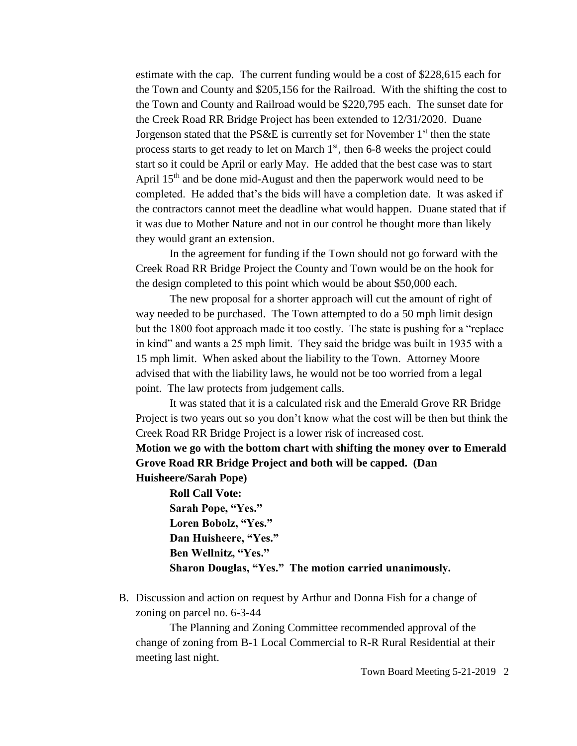estimate with the cap. The current funding would be a cost of \$228,615 each for the Town and County and \$205,156 for the Railroad. With the shifting the cost to the Town and County and Railroad would be \$220,795 each. The sunset date for the Creek Road RR Bridge Project has been extended to 12/31/2020. Duane Jorgenson stated that the PS&E is currently set for November  $1<sup>st</sup>$  then the state process starts to get ready to let on March  $1<sup>st</sup>$ , then 6-8 weeks the project could start so it could be April or early May. He added that the best case was to start April 15<sup>th</sup> and be done mid-August and then the paperwork would need to be completed. He added that's the bids will have a completion date. It was asked if the contractors cannot meet the deadline what would happen. Duane stated that if it was due to Mother Nature and not in our control he thought more than likely they would grant an extension.

In the agreement for funding if the Town should not go forward with the Creek Road RR Bridge Project the County and Town would be on the hook for the design completed to this point which would be about \$50,000 each.

The new proposal for a shorter approach will cut the amount of right of way needed to be purchased. The Town attempted to do a 50 mph limit design but the 1800 foot approach made it too costly. The state is pushing for a "replace in kind" and wants a 25 mph limit. They said the bridge was built in 1935 with a 15 mph limit. When asked about the liability to the Town. Attorney Moore advised that with the liability laws, he would not be too worried from a legal point. The law protects from judgement calls.

It was stated that it is a calculated risk and the Emerald Grove RR Bridge Project is two years out so you don't know what the cost will be then but think the Creek Road RR Bridge Project is a lower risk of increased cost.

## **Motion we go with the bottom chart with shifting the money over to Emerald Grove Road RR Bridge Project and both will be capped. (Dan Huisheere/Sarah Pope)**

**Roll Call Vote: Sarah Pope, "Yes." Loren Bobolz, "Yes." Dan Huisheere, "Yes." Ben Wellnitz, "Yes." Sharon Douglas, "Yes." The motion carried unanimously.**

B. Discussion and action on request by Arthur and Donna Fish for a change of zoning on parcel no. 6-3-44

The Planning and Zoning Committee recommended approval of the change of zoning from B-1 Local Commercial to R-R Rural Residential at their meeting last night.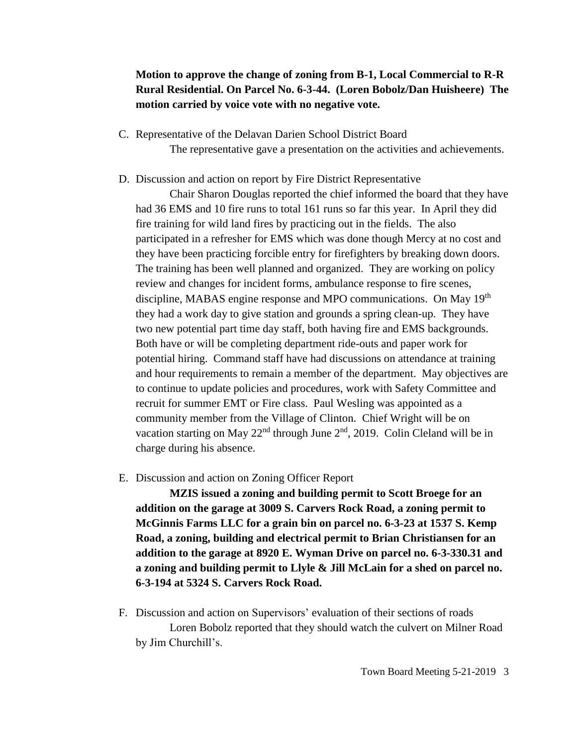## **Motion to approve the change of zoning from B-1, Local Commercial to R-R Rural Residential. On Parcel No. 6-3-44. (Loren Bobolz/Dan Huisheere) The motion carried by voice vote with no negative vote.**

- C. Representative of the Delavan Darien School District Board The representative gave a presentation on the activities and achievements.
- D. Discussion and action on report by Fire District Representative

Chair Sharon Douglas reported the chief informed the board that they have had 36 EMS and 10 fire runs to total 161 runs so far this year. In April they did fire training for wild land fires by practicing out in the fields. The also participated in a refresher for EMS which was done though Mercy at no cost and they have been practicing forcible entry for firefighters by breaking down doors. The training has been well planned and organized. They are working on policy review and changes for incident forms, ambulance response to fire scenes, discipline, MABAS engine response and MPO communications. On May 19<sup>th</sup> they had a work day to give station and grounds a spring clean-up. They have two new potential part time day staff, both having fire and EMS backgrounds. Both have or will be completing department ride-outs and paper work for potential hiring. Command staff have had discussions on attendance at training and hour requirements to remain a member of the department. May objectives are to continue to update policies and procedures, work with Safety Committee and recruit for summer EMT or Fire class. Paul Wesling was appointed as a community member from the Village of Clinton. Chief Wright will be on vacation starting on May  $22<sup>nd</sup>$  through June  $2<sup>nd</sup>$ , 2019. Colin Cleland will be in charge during his absence.

E. Discussion and action on Zoning Officer Report

**MZIS issued a zoning and building permit to Scott Broege for an addition on the garage at 3009 S. Carvers Rock Road, a zoning permit to McGinnis Farms LLC for a grain bin on parcel no. 6-3-23 at 1537 S. Kemp Road, a zoning, building and electrical permit to Brian Christiansen for an addition to the garage at 8920 E. Wyman Drive on parcel no. 6-3-330.31 and a zoning and building permit to Llyle & Jill McLain for a shed on parcel no. 6-3-194 at 5324 S. Carvers Rock Road.**

F. Discussion and action on Supervisors' evaluation of their sections of roads Loren Bobolz reported that they should watch the culvert on Milner Road by Jim Churchill's.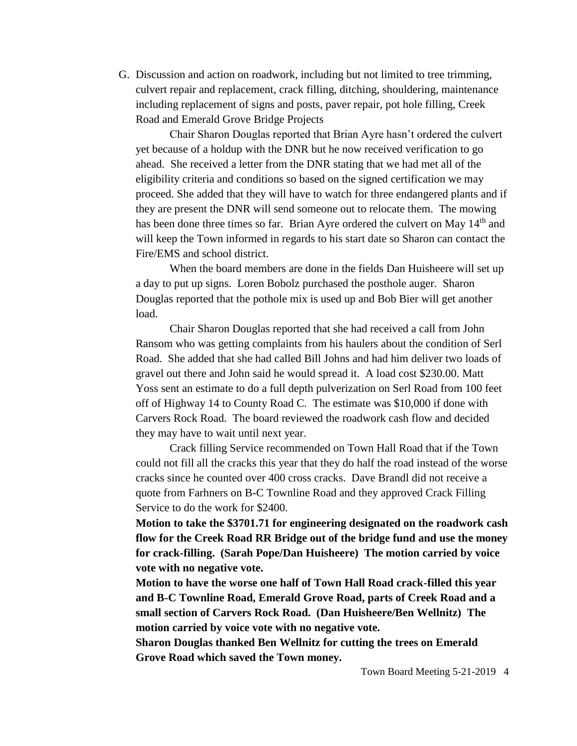G. Discussion and action on roadwork, including but not limited to tree trimming, culvert repair and replacement, crack filling, ditching, shouldering, maintenance including replacement of signs and posts, paver repair, pot hole filling, Creek Road and Emerald Grove Bridge Projects

Chair Sharon Douglas reported that Brian Ayre hasn't ordered the culvert yet because of a holdup with the DNR but he now received verification to go ahead. She received a letter from the DNR stating that we had met all of the eligibility criteria and conditions so based on the signed certification we may proceed. She added that they will have to watch for three endangered plants and if they are present the DNR will send someone out to relocate them. The mowing has been done three times so far. Brian Ayre ordered the culvert on May 14<sup>th</sup> and will keep the Town informed in regards to his start date so Sharon can contact the Fire/EMS and school district.

When the board members are done in the fields Dan Huisheere will set up a day to put up signs. Loren Bobolz purchased the posthole auger. Sharon Douglas reported that the pothole mix is used up and Bob Bier will get another load.

Chair Sharon Douglas reported that she had received a call from John Ransom who was getting complaints from his haulers about the condition of Serl Road. She added that she had called Bill Johns and had him deliver two loads of gravel out there and John said he would spread it. A load cost \$230.00. Matt Yoss sent an estimate to do a full depth pulverization on Serl Road from 100 feet off of Highway 14 to County Road C. The estimate was \$10,000 if done with Carvers Rock Road. The board reviewed the roadwork cash flow and decided they may have to wait until next year.

Crack filling Service recommended on Town Hall Road that if the Town could not fill all the cracks this year that they do half the road instead of the worse cracks since he counted over 400 cross cracks. Dave Brandl did not receive a quote from Farhners on B-C Townline Road and they approved Crack Filling Service to do the work for \$2400.

**Motion to take the \$3701.71 for engineering designated on the roadwork cash flow for the Creek Road RR Bridge out of the bridge fund and use the money for crack-filling. (Sarah Pope/Dan Huisheere) The motion carried by voice vote with no negative vote.**

**Motion to have the worse one half of Town Hall Road crack-filled this year and B-C Townline Road, Emerald Grove Road, parts of Creek Road and a small section of Carvers Rock Road. (Dan Huisheere/Ben Wellnitz) The motion carried by voice vote with no negative vote.** 

**Sharon Douglas thanked Ben Wellnitz for cutting the trees on Emerald Grove Road which saved the Town money.**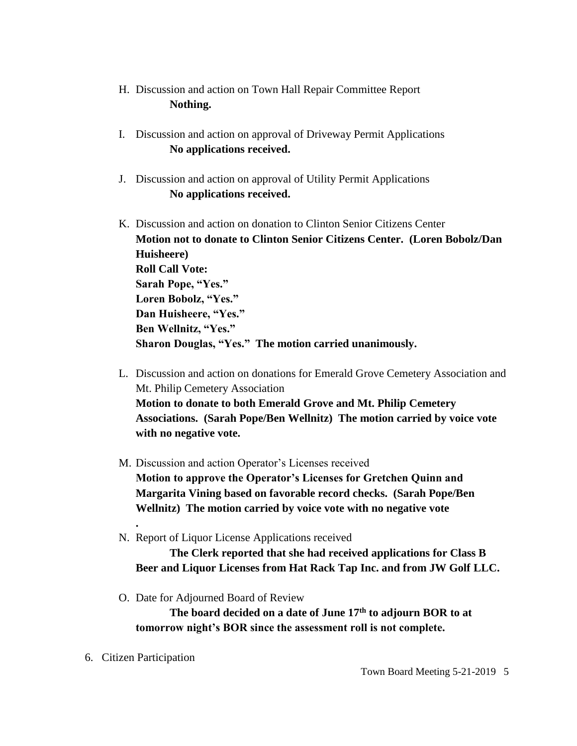- H. Discussion and action on Town Hall Repair Committee Report **Nothing.**
- I. Discussion and action on approval of Driveway Permit Applications **No applications received.**
- J. Discussion and action on approval of Utility Permit Applications **No applications received.**
- K. Discussion and action on donation to Clinton Senior Citizens Center **Motion not to donate to Clinton Senior Citizens Center. (Loren Bobolz/Dan Huisheere) Roll Call Vote: Sarah Pope, "Yes." Loren Bobolz, "Yes." Dan Huisheere, "Yes." Ben Wellnitz, "Yes." Sharon Douglas, "Yes." The motion carried unanimously.**
- L. Discussion and action on donations for Emerald Grove Cemetery Association and Mt. Philip Cemetery Association **Motion to donate to both Emerald Grove and Mt. Philip Cemetery Associations. (Sarah Pope/Ben Wellnitz) The motion carried by voice vote with no negative vote.**
- M. Discussion and action Operator's Licenses received **Motion to approve the Operator's Licenses for Gretchen Quinn and Margarita Vining based on favorable record checks. (Sarah Pope/Ben Wellnitz) The motion carried by voice vote with no negative vote**
- N. Report of Liquor License Applications received

**The Clerk reported that she had received applications for Class B Beer and Liquor Licenses from Hat Rack Tap Inc. and from JW Golf LLC.**

O. Date for Adjourned Board of Review

**The board decided on a date of June 17th to adjourn BOR to at tomorrow night's BOR since the assessment roll is not complete.**

6. Citizen Participation

**.**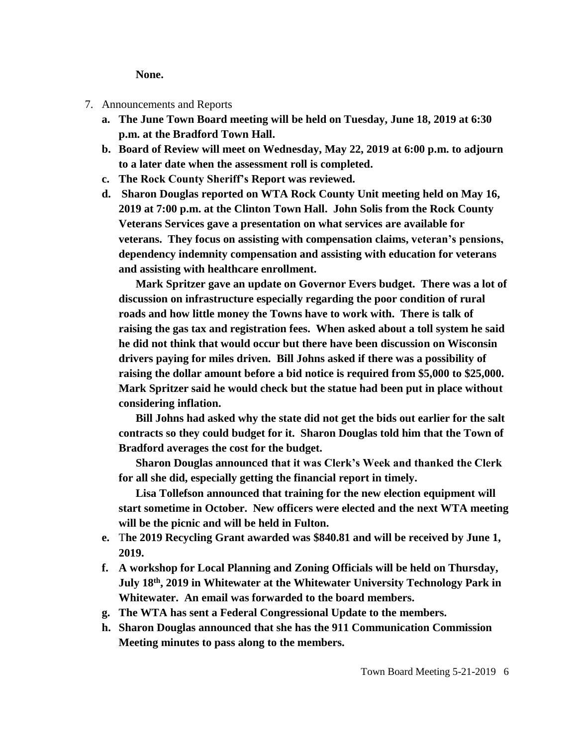**None.**

- 7. Announcements and Reports
	- **a. The June Town Board meeting will be held on Tuesday, June 18, 2019 at 6:30 p.m. at the Bradford Town Hall.**
	- **b. Board of Review will meet on Wednesday, May 22, 2019 at 6:00 p.m. to adjourn to a later date when the assessment roll is completed.**
	- **c. The Rock County Sheriff's Report was reviewed.**
	- **d. Sharon Douglas reported on WTA Rock County Unit meeting held on May 16, 2019 at 7:00 p.m. at the Clinton Town Hall. John Solis from the Rock County Veterans Services gave a presentation on what services are available for veterans. They focus on assisting with compensation claims, veteran's pensions, dependency indemnity compensation and assisting with education for veterans and assisting with healthcare enrollment.**

**Mark Spritzer gave an update on Governor Evers budget. There was a lot of discussion on infrastructure especially regarding the poor condition of rural roads and how little money the Towns have to work with. There is talk of raising the gas tax and registration fees. When asked about a toll system he said he did not think that would occur but there have been discussion on Wisconsin drivers paying for miles driven. Bill Johns asked if there was a possibility of raising the dollar amount before a bid notice is required from \$5,000 to \$25,000. Mark Spritzer said he would check but the statue had been put in place without considering inflation.** 

**Bill Johns had asked why the state did not get the bids out earlier for the salt contracts so they could budget for it. Sharon Douglas told him that the Town of Bradford averages the cost for the budget.** 

**Sharon Douglas announced that it was Clerk's Week and thanked the Clerk for all she did, especially getting the financial report in timely.** 

**Lisa Tollefson announced that training for the new election equipment will start sometime in October. New officers were elected and the next WTA meeting will be the picnic and will be held in Fulton.** 

- **e.** T**he 2019 Recycling Grant awarded was \$840.81 and will be received by June 1, 2019.**
- **f. A workshop for Local Planning and Zoning Officials will be held on Thursday, July 18th, 2019 in Whitewater at the Whitewater University Technology Park in Whitewater. An email was forwarded to the board members.**
- **g. The WTA has sent a Federal Congressional Update to the members.**
- **h. Sharon Douglas announced that she has the 911 Communication Commission Meeting minutes to pass along to the members.**